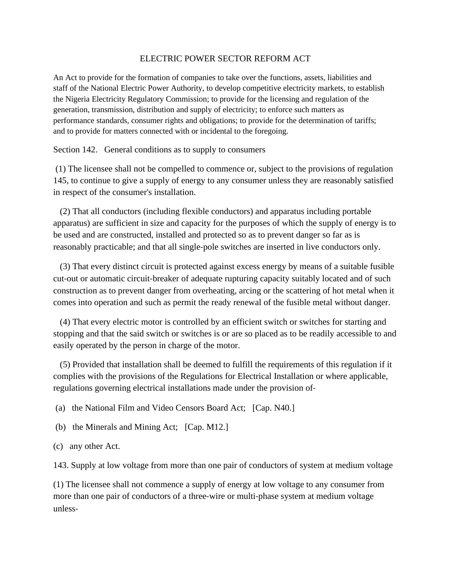## ELECTRIC POWER SECTOR REFORM ACT

An Act to provide for the formation of companies to take over the functions, assets, liabilities and staff of the National Electric Power Authority, to develop competitive electricity markets, to establish the Nigeria Electricity Regulatory Commission; to provide for the licensing and regulation of the generation, transmission, distribution and supply of electricity; to enforce such matters as performance standards, consumer rights and obligations; to provide for the determination of tariffs; and to provide for matters connected with or incidental to the foregoing.

Section 142. General conditions as to supply to consumers

(1) The licensee shall not be compelled to commence or, subject to the provisions of regulation 145, to continue to give a supply of energy to any consumer unless they are reasonably satisfied in respect of the consumer's installation.

 (2) That all conductors (including flexible conductors) and apparatus including portable apparatus) are sufficient in size and capacity for the purposes of which the supply of energy is to be used and are constructed, installed and protected so as to prevent danger so far as is reasonably practicable; and that all single‐pole switches are inserted in live conductors only.

 (3) That every distinct circuit is protected against excess energy by means of a suitable fusible cut-out or automatic circuit-breaker of adequate rupturing capacity suitably located and of such construction as to prevent danger from overheating, arcing or the scattering of hot metal when it comes into operation and such as permit the ready renewal of the fusible metal without danger.

 (4) That every electric motor is controlled by an efficient switch or switches for starting and stopping and that the said switch or switches is or are so placed as to be readily accessible to and easily operated by the person in charge of the motor.

 (5) Provided that installation shall be deemed to fulfill the requirements of this regulation if it complies with the provisions of the Regulations for Electrical Installation or where applicable, regulations governing electrical installations made under the provision of‐

(a) the National Film and Video Censors Board Act; [Cap. N40.]

(b) the Minerals and Mining Act; [Cap. M12.]

(c) any other Act.

143. Supply at low voltage from more than one pair of conductors of system at medium voltage

(1) The licensee shall not commence a supply of energy at low voltage to any consumer from more than one pair of conductors of a three-wire or multi-phase system at medium voltage unless‐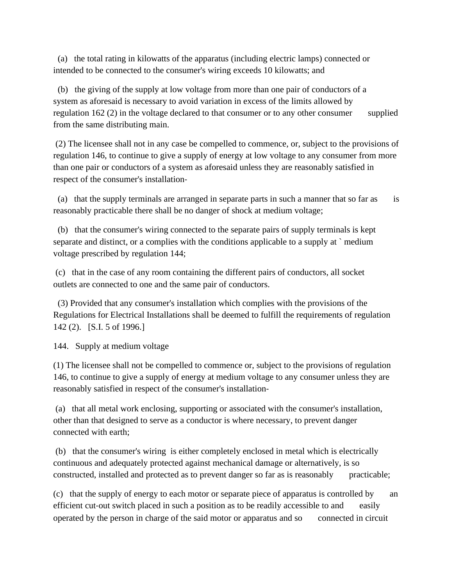(a) the total rating in kilowatts of the apparatus (including electric lamps) connected or intended to be connected to the consumer's wiring exceeds 10 kilowatts; and

(b) the giving of the supply at low voltage from more than one pair of conductors of a system as aforesaid is necessary to avoid variation in excess of the limits allowed by regulation 162 (2) in the voltage declared to that consumer or to any other consumer supplied from the same distributing main.

(2) The licensee shall not in any case be compelled to commence, or, subject to the provisions of regulation 146, to continue to give a supply of energy at low voltage to any consumer from more than one pair or conductors of a system as aforesaid unless they are reasonably satisfied in respect of the consumer's installation‐

(a) that the supply terminals are arranged in separate parts in such a manner that so far as is reasonably practicable there shall be no danger of shock at medium voltage;

(b) that the consumer's wiring connected to the separate pairs of supply terminals is kept separate and distinct, or a complies with the conditions applicable to a supply at ` medium voltage prescribed by regulation 144;

(c) that in the case of any room containing the different pairs of conductors, all socket outlets are connected to one and the same pair of conductors.

(3) Provided that any consumer's installation which complies with the provisions of the Regulations for Electrical Installations shall be deemed to fulfill the requirements of regulation 142 (2). [S.I. 5 of 1996.]

144. Supply at medium voltage

(1) The licensee shall not be compelled to commence or, subject to the provisions of regulation 146, to continue to give a supply of energy at medium voltage to any consumer unless they are reasonably satisfied in respect of the consumer's installation‐

(a) that all metal work enclosing, supporting or associated with the consumer's installation, other than that designed to serve as a conductor is where necessary, to prevent danger connected with earth;

(b) that the consumer's wiring is either completely enclosed in metal which is electrically continuous and adequately protected against mechanical damage or alternatively, is so constructed, installed and protected as to prevent danger so far as is reasonably practicable;

(c) that the supply of energy to each motor or separate piece of apparatus is controlled by an efficient cut-out switch placed in such a position as to be readily accessible to and easily operated by the person in charge of the said motor or apparatus and so connected in circuit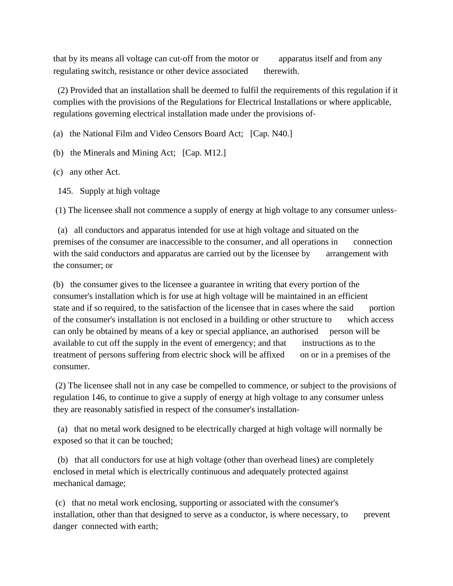that by its means all voltage can cut‐off from the motor or apparatus itself and from any regulating switch, resistance or other device associated therewith.

(2) Provided that an installation shall be deemed to fulfil the requirements of this regulation if it complies with the provisions of the Regulations for Electrical Installations or where applicable, regulations governing electrical installation made under the provisions of‐

(a) the National Film and Video Censors Board Act; [Cap. N40.]

(b) the Minerals and Mining Act; [Cap. M12.]

(c) any other Act.

145. Supply at high voltage

(1) The licensee shall not commence a supply of energy at high voltage to any consumer unless‐

(a) all conductors and apparatus intended for use at high voltage and situated on the premises of the consumer are inaccessible to the consumer, and all operations in connection with the said conductors and apparatus are carried out by the licensee by arrangement with the consumer; or

(b) the consumer gives to the licensee a guarantee in writing that every portion of the consumer's installation which is for use at high voltage will be maintained in an efficient state and if so required, to the satisfaction of the licensee that in cases where the said portion of the consumer's installation is not enclosed in a building or other structure to which access can only be obtained by means of a key or special appliance, an authorised person will be available to cut off the supply in the event of emergency; and that instructions as to the treatment of persons suffering from electric shock will be affixed on or in a premises of the consumer.

(2) The licensee shall not in any case be compelled to commence, or subject to the provisions of regulation 146, to continue to give a supply of energy at high voltage to any consumer unless they are reasonably satisfied in respect of the consumer's installation‐

(a) that no metal work designed to be electrically charged at high voltage will normally be exposed so that it can be touched;

(b) that all conductors for use at high voltage (other than overhead lines) are completely enclosed in metal which is electrically continuous and adequately protected against mechanical damage;

(c) that no metal work enclosing, supporting or associated with the consumer's installation, other than that designed to serve as a conductor, is where necessary, to prevent danger connected with earth;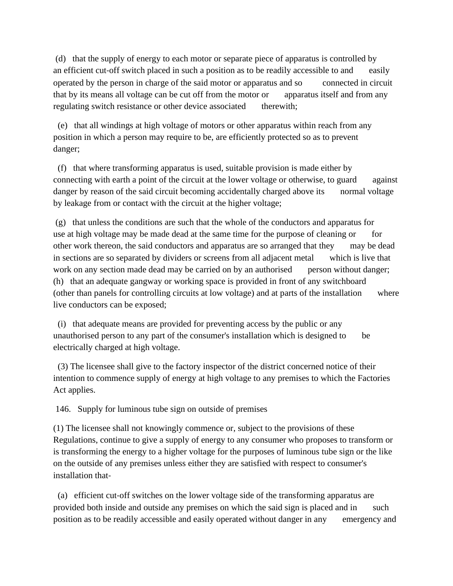(d) that the supply of energy to each motor or separate piece of apparatus is controlled by an efficient cut-off switch placed in such a position as to be readily accessible to and easily operated by the person in charge of the said motor or apparatus and so connected in circuit that by its means all voltage can be cut off from the motor or apparatus itself and from any regulating switch resistance or other device associated therewith;

(e) that all windings at high voltage of motors or other apparatus within reach from any position in which a person may require to be, are efficiently protected so as to prevent danger;

(f) that where transforming apparatus is used, suitable provision is made either by connecting with earth a point of the circuit at the lower voltage or otherwise, to guard against danger by reason of the said circuit becoming accidentally charged above its normal voltage by leakage from or contact with the circuit at the higher voltage;

(g) that unless the conditions are such that the whole of the conductors and apparatus for use at high voltage may be made dead at the same time for the purpose of cleaning or for other work thereon, the said conductors and apparatus are so arranged that they may be dead in sections are so separated by dividers or screens from all adjacent metal which is live that work on any section made dead may be carried on by an authorised person without danger; (h) that an adequate gangway or working space is provided in front of any switchboard (other than panels for controlling circuits at low voltage) and at parts of the installation where live conductors can be exposed;

(i) that adequate means are provided for preventing access by the public or any unauthorised person to any part of the consumer's installation which is designed to be electrically charged at high voltage.

(3) The licensee shall give to the factory inspector of the district concerned notice of their intention to commence supply of energy at high voltage to any premises to which the Factories Act applies.

146. Supply for luminous tube sign on outside of premises

(1) The licensee shall not knowingly commence or, subject to the provisions of these Regulations, continue to give a supply of energy to any consumer who proposes to transform or is transforming the energy to a higher voltage for the purposes of luminous tube sign or the like on the outside of any premises unless either they are satisfied with respect to consumer's installation that‐

(a) efficient cut‐off switches on the lower voltage side of the transforming apparatus are provided both inside and outside any premises on which the said sign is placed and in such position as to be readily accessible and easily operated without danger in any emergency and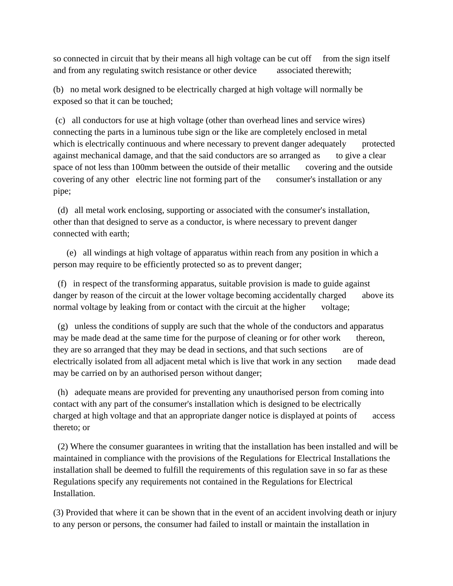so connected in circuit that by their means all high voltage can be cut off from the sign itself and from any regulating switch resistance or other device associated therewith;

(b) no metal work designed to be electrically charged at high voltage will normally be exposed so that it can be touched;

(c) all conductors for use at high voltage (other than overhead lines and service wires) connecting the parts in a luminous tube sign or the like are completely enclosed in metal which is electrically continuous and where necessary to prevent danger adequately protected against mechanical damage, and that the said conductors are so arranged as to give a clear space of not less than 100mm between the outside of their metallic covering and the outside covering of any other electric line not forming part of the consumer's installation or any pipe;

(d) all metal work enclosing, supporting or associated with the consumer's installation, other than that designed to serve as a conductor, is where necessary to prevent danger connected with earth;

(e) all windings at high voltage of apparatus within reach from any position in which a person may require to be efficiently protected so as to prevent danger;

(f) in respect of the transforming apparatus, suitable provision is made to guide against danger by reason of the circuit at the lower voltage becoming accidentally charged above its normal voltage by leaking from or contact with the circuit at the higher voltage;

(g) unless the conditions of supply are such that the whole of the conductors and apparatus may be made dead at the same time for the purpose of cleaning or for other work thereon, they are so arranged that they may be dead in sections, and that such sections are of electrically isolated from all adjacent metal which is live that work in any section made dead may be carried on by an authorised person without danger;

(h) adequate means are provided for preventing any unauthorised person from coming into contact with any part of the consumer's installation which is designed to be electrically charged at high voltage and that an appropriate danger notice is displayed at points of access thereto; or

(2) Where the consumer guarantees in writing that the installation has been installed and will be maintained in compliance with the provisions of the Regulations for Electrical Installations the installation shall be deemed to fulfill the requirements of this regulation save in so far as these Regulations specify any requirements not contained in the Regulations for Electrical Installation.

(3) Provided that where it can be shown that in the event of an accident involving death or injury to any person or persons, the consumer had failed to install or maintain the installation in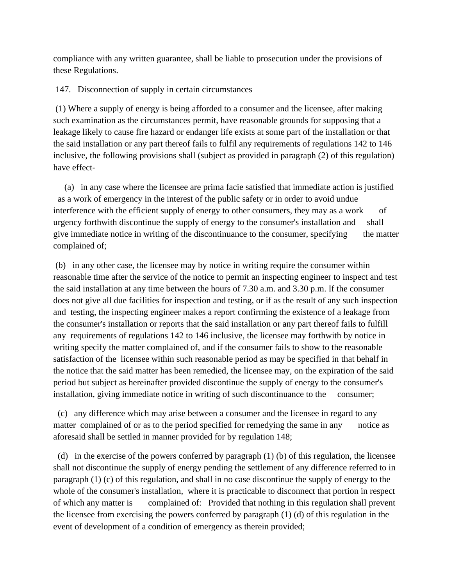compliance with any written guarantee, shall be liable to prosecution under the provisions of these Regulations.

147. Disconnection of supply in certain circumstances

(1) Where a supply of energy is being afforded to a consumer and the licensee, after making such examination as the circumstances permit, have reasonable grounds for supposing that a leakage likely to cause fire hazard or endanger life exists at some part of the installation or that the said installation or any part thereof fails to fulfil any requirements of regulations 142 to 146 inclusive, the following provisions shall (subject as provided in paragraph (2) of this regulation) have effect‐

(a) in any case where the licensee are prima facie satisfied that immediate action is justified as a work of emergency in the interest of the public safety or in order to avoid undue interference with the efficient supply of energy to other consumers, they may as a work of urgency forthwith discontinue the supply of energy to the consumer's installation and shall give immediate notice in writing of the discontinuance to the consumer, specifying the matter complained of;

(b) in any other case, the licensee may by notice in writing require the consumer within reasonable time after the service of the notice to permit an inspecting engineer to inspect and test the said installation at any time between the hours of 7.30 a.m. and 3.30 p.m. If the consumer does not give all due facilities for inspection and testing, or if as the result of any such inspection and testing, the inspecting engineer makes a report confirming the existence of a leakage from the consumer's installation or reports that the said installation or any part thereof fails to fulfill any requirements of regulations 142 to 146 inclusive, the licensee may forthwith by notice in writing specify the matter complained of, and if the consumer fails to show to the reasonable satisfaction of the licensee within such reasonable period as may be specified in that behalf in the notice that the said matter has been remedied, the licensee may, on the expiration of the said period but subject as hereinafter provided discontinue the supply of energy to the consumer's installation, giving immediate notice in writing of such discontinuance to the consumer;

(c) any difference which may arise between a consumer and the licensee in regard to any matter complained of or as to the period specified for remedying the same in any notice as aforesaid shall be settled in manner provided for by regulation 148;

(d) in the exercise of the powers conferred by paragraph (1) (b) of this regulation, the licensee shall not discontinue the supply of energy pending the settlement of any difference referred to in paragraph (1) (c) of this regulation, and shall in no case discontinue the supply of energy to the whole of the consumer's installation, where it is practicable to disconnect that portion in respect of which any matter is complained of: Provided that nothing in this regulation shall prevent the licensee from exercising the powers conferred by paragraph (1) (d) of this regulation in the event of development of a condition of emergency as therein provided;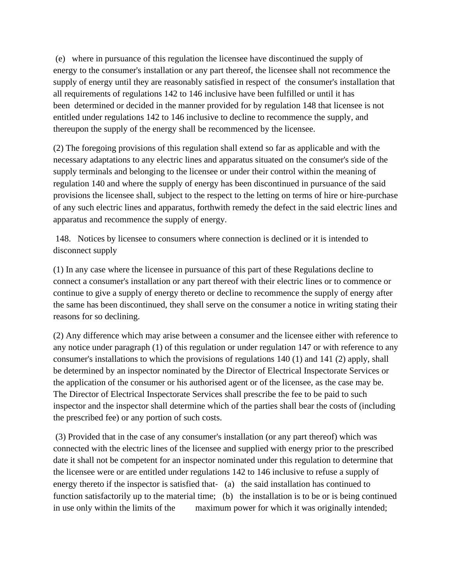(e) where in pursuance of this regulation the licensee have discontinued the supply of energy to the consumer's installation or any part thereof, the licensee shall not recommence the supply of energy until they are reasonably satisfied in respect of the consumer's installation that all requirements of regulations 142 to 146 inclusive have been fulfilled or until it has been determined or decided in the manner provided for by regulation 148 that licensee is not entitled under regulations 142 to 146 inclusive to decline to recommence the supply, and thereupon the supply of the energy shall be recommenced by the licensee.

(2) The foregoing provisions of this regulation shall extend so far as applicable and with the necessary adaptations to any electric lines and apparatus situated on the consumer's side of the supply terminals and belonging to the licensee or under their control within the meaning of regulation 140 and where the supply of energy has been discontinued in pursuance of the said provisions the licensee shall, subject to the respect to the letting on terms of hire or hire‐purchase of any such electric lines and apparatus, forthwith remedy the defect in the said electric lines and apparatus and recommence the supply of energy.

148. Notices by licensee to consumers where connection is declined or it is intended to disconnect supply

(1) In any case where the licensee in pursuance of this part of these Regulations decline to connect a consumer's installation or any part thereof with their electric lines or to commence or continue to give a supply of energy thereto or decline to recommence the supply of energy after the same has been discontinued, they shall serve on the consumer a notice in writing stating their reasons for so declining.

(2) Any difference which may arise between a consumer and the licensee either with reference to any notice under paragraph (1) of this regulation or under regulation 147 or with reference to any consumer's installations to which the provisions of regulations 140 (1) and 141 (2) apply, shall be determined by an inspector nominated by the Director of Electrical Inspectorate Services or the application of the consumer or his authorised agent or of the licensee, as the case may be. The Director of Electrical Inspectorate Services shall prescribe the fee to be paid to such inspector and the inspector shall determine which of the parties shall bear the costs of (including the prescribed fee) or any portion of such costs.

(3) Provided that in the case of any consumer's installation (or any part thereof) which was connected with the electric lines of the licensee and supplied with energy prior to the prescribed date it shall not be competent for an inspector nominated under this regulation to determine that the licensee were or are entitled under regulations 142 to 146 inclusive to refuse a supply of energy thereto if the inspector is satisfied that- (a) the said installation has continued to function satisfactorily up to the material time; (b) the installation is to be or is being continued in use only within the limits of the maximum power for which it was originally intended;